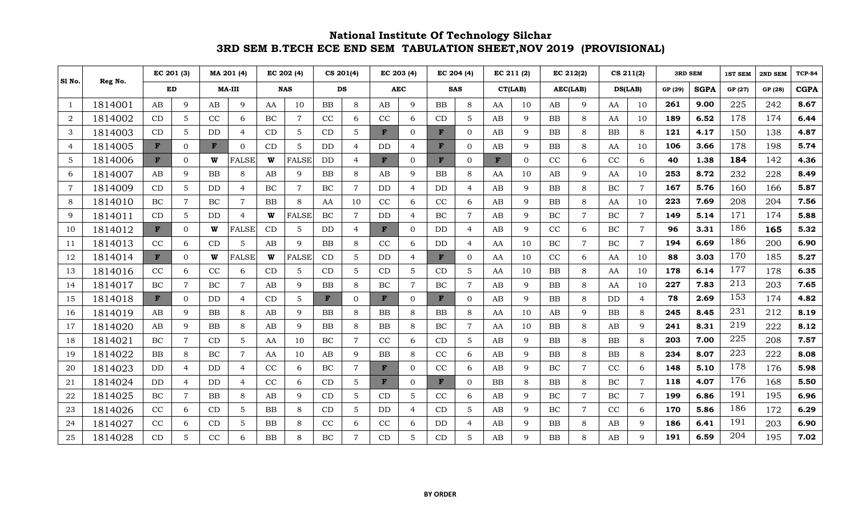|                |         | EC 201 (3) |                | MA 201 (4) |                | EC 202 (4) |                | CS 201(4) |                | EC 203 (4) |                | EC 204 (4) |                 | EC 211 (2) |          | EC 212(2)  |                | CS 211(2) |                | <b>3RD SEM</b> |             | <b>1ST SEM</b> | 2ND SEM | <b>TCP-84</b> |
|----------------|---------|------------|----------------|------------|----------------|------------|----------------|-----------|----------------|------------|----------------|------------|-----------------|------------|----------|------------|----------------|-----------|----------------|----------------|-------------|----------------|---------|---------------|
| Sl No.         | Reg No. |            | ED             |            | <b>MA-III</b>  | <b>NAS</b> |                | <b>DS</b> |                |            | <b>AEC</b>     |            | <b>SAS</b>      |            | CT(LAB)  |            | AEC(LAB)       | DS(LAB)   |                | GP (29)        | <b>SGPA</b> | GP (27)        | GP (28) | <b>CGPA</b>   |
| $\mathbf{1}$   | 1814001 | AB         | $\mathbf Q$    | AB         | 9              | AA         | 10             | <b>BB</b> | 8              | AB         | $\mathbf{Q}$   | BB         | 8               | AA         | 10       | AB         | 9              | AA        | 10             | 261            | 9.00        | 225            | 242     | 8.67          |
| 2              | 1814002 | CD         | 5              | CC         | 6              | $\rm BC$   | $\overline{7}$ | CC        | 6              | CC         | 6              | CD         | 5               | AB         | 9        | <b>BB</b>  | 8              | AA        | 10             | 189            | 6.52        | 178            | 174     | 6.44          |
| 3              | 1814003 | CD         | 5              | DD         | 4              | CD         | 5              | CD        | 5              | F          | $\Omega$       | F          | $\overline{0}$  | AB         | 9        | BB         | 8              | <b>BB</b> | 8              | 121            | 4.17        | 150            | 138     | 4.87          |
| 4              | 1814005 | F          | $\overline{0}$ | F          | $\overline{0}$ | CD         | 5              | DD        | $\overline{4}$ | DD         | $\overline{4}$ | F          | $\mathbf{0}$    | AB         | 9        | <b>BB</b>  | 8              | AA        | 10             | 106            | 3.66        | 178            | 198     | 5.74          |
| 5              | 1814006 | F          | $\Omega$       | W          | <b>FALSE</b>   | W          | <b>FALSE</b>   | <b>DD</b> | $\overline{4}$ | F          | $\Omega$       | F          | $\Omega$        | F          | $\Omega$ | CC         | 6              | CC        | 6              | 40             | 1.38        | 184            | 142     | 4.36          |
| 6              | 1814007 | AB         | 9              | <b>BB</b>  | 8              | AB         | 9              | <b>BB</b> | 8              | AB         | $\mathbf{Q}$   | BB         | 8               | AA         | 10       | AB         | 9              | AA        | 10             | 253            | 8.72        | 232            | 228     | 8.49          |
| $\overline{7}$ | 1814009 | CD         | 5              | <b>DD</b>  | $\overline{4}$ | BC         | 7              | $\rm BC$  | $\overline{7}$ | <b>DD</b>  | $\overline{4}$ | <b>DD</b>  | $\overline{4}$  | AB         | 9        | ${\rm BB}$ | 8              | BC        | $\overline{7}$ | 167            | 5.76        | 160            | 166     | 5.87          |
| 8              | 1814010 | BC         | $\overline{7}$ | BC         | $\overline{7}$ | BB         | 8              | AA        | 10             | CC         | 6              | CC         | 6               | AB         | 9        | <b>BB</b>  | 8              | AA        | 10             | 223            | 7.69        | 208            | 204     | 7.56          |
| 9              | 1814011 | CD         | 5              | DD         | $\overline{4}$ | W          | <b>FALSE</b>   | BC        | $\overline{7}$ | DD         | $\overline{4}$ | BC         | $\overline{7}$  | AB         | 9        | BC         | $\overline{7}$ | BC        | $\overline{7}$ | 149            | 5.14        | 171            | 174     | 5.88          |
| 10             | 1814012 | F          | $\overline{0}$ | W          | <b>FALSE</b>   | CD         | 5              | DD        | $\overline{4}$ | F          | $\overline{0}$ | DD         | $\overline{4}$  | AB         | 9        | CC         | 6              | BC        | $\overline{7}$ | 96             | 3.31        | 186            | 165     | 5.32          |
| 11             | 1814013 | CC         | 6              | CD         | 5              | AB         | q              | BB        | 8              | CC         | 6              | DD         | $\overline{4}$  | AA         | 10       | BC         | $\overline{7}$ | $\rm BC$  | $\overline{7}$ | 194            | 6.69        | 186            | 200     | 6.90          |
| 12             | 1814014 | F          | $\Omega$       | W          | <b>FALSE</b>   | W          | <b>FALSE</b>   | CD        | 5              | <b>DD</b>  | $\overline{4}$ | F          | $\Omega$        | AA         | 10       | CC         | 6              | AA        | 10             | 88             | 3.03        | 170            | 185     | 5.27          |
| 13             | 1814016 | CC         | 6              | CC         | 6              | CD         | 5              | CD        | 5              | CD         | 5              | CD         | $\overline{5}$  | AA         | 10       | BB         | 8              | AA        | 10             | 178            | 6.14        | 177            | 178     | 6.35          |
| 14             | 1814017 | BC         | $\overline{7}$ | BC         | $\overline{7}$ | AB         | q              | <b>BB</b> | 8              | BC         |                | BC         | $\overline{7}$  | AB         | 9        | <b>BB</b>  | 8              | AA        | 10             | 227            | 7.83        | 213            | 203     | 7.65          |
| 15             | 1814018 | F          | $\Omega$       | <b>DD</b>  | $\overline{4}$ | CD         | 5              | F         | $\overline{0}$ | F          | $\Omega$       | F          | $\overline{0}$  | AB         | 9        | <b>BB</b>  | 8              | DD        | $\overline{4}$ | 78             | 2.69        | 153            | 174     | 4.82          |
| 16             | 1814019 | AB         | 9              | <b>BB</b>  | 8              | AB         | q              | <b>BB</b> | 8              | <b>BB</b>  | 8              | <b>BB</b>  | 8               | AA         | 10       | AB         | 9              | <b>BB</b> | 8              | 245            | 8.45        | 231            | 212     | 8.19          |
| 17             | 1814020 | AB         | 9              | <b>BB</b>  | 8              | AB         | 9              | <b>BB</b> | 8              | BB         | 8              | BC         | $\overline{7}$  | AA         | 10       | <b>BB</b>  | 8              | AB        | 9              | 241            | 8.31        | 219            | 222     | 8.12          |
| 18             | 1814021 | BC         | $\overline{7}$ | CD         | 5              | AA         | 10             | $\rm BC$  | $\overline{7}$ | CC         | 6              | CD         | $5\phantom{.0}$ | AB         | 9        | BB         | 8              | BB        | 8              | 203            | 7.00        | 225            | 208     | 7.57          |
| 19             | 1814022 | <b>BB</b>  | 8              | BC         | $\overline{7}$ | AA         | 10             | AB        | 9              | <b>BB</b>  | 8              | CC         | 6               | AB         | 9        | <b>BB</b>  | 8              | BB        | 8              | 234            | 8.07        | 223            | 222     | 8.08          |
| 20             | 1814023 | DD         | $\overline{4}$ | DD         | $\overline{4}$ | CC         | 6              | BC        | $\overline{7}$ | F          | $\Omega$       | CC         | 6               | AB         | 9        | BC         | $\overline{7}$ | CC        | 6              | 148            | 5.10        | 178            | 176     | 5.98          |
| 21             | 1814024 | DD         | $\overline{4}$ | DD         | $\overline{4}$ | CC         | 6              | CD        | 5              | F          | $\Omega$       | F          | $\overline{0}$  | BB         | 8        | BB         | 8              | $\rm BC$  | $\overline{7}$ | 118            | 4.07        | 176            | 168     | 5.50          |
| 22             | 1814025 | BC         | $\overline{7}$ | <b>BB</b>  | 8              | AB         | 9              | CD        | 5              | CD         | 5              | CC         | 6               | AB         | 9        | BC         | $\overline{7}$ | $\rm BC$  | $\overline{7}$ | 199            | 6.86        | 191            | 195     | 6.96          |
| 23             | 1814026 | CC         | 6              | CD         | 5              | BB         | 8              | CD        | 5              | DD         | $\overline{4}$ | CD         | 5               | AB         | 9        | BC         | $\overline{7}$ | CC        | 6              | 170            | 5.86        | 186            | 172     | 6.29          |
| 24             | 1814027 | CC         | 6              | CD         | 5              | BB         | 8              | CC        | 6              | CC         | 6              | DD         | $\overline{4}$  | AB         | 9        | BB         | 8              | AB        | 9              | 186            | 6.41        | 191            | 203     | 6.90          |
| 25             | 1814028 | CD         |                | CC         | 6              | <b>BB</b>  |                | $\rm BC$  |                | CD         |                | CD         | 5               | AB         | q        | <b>BB</b>  | 8              | AB        | q              | 191            | 6.59        | 204            | 195     | 7.02          |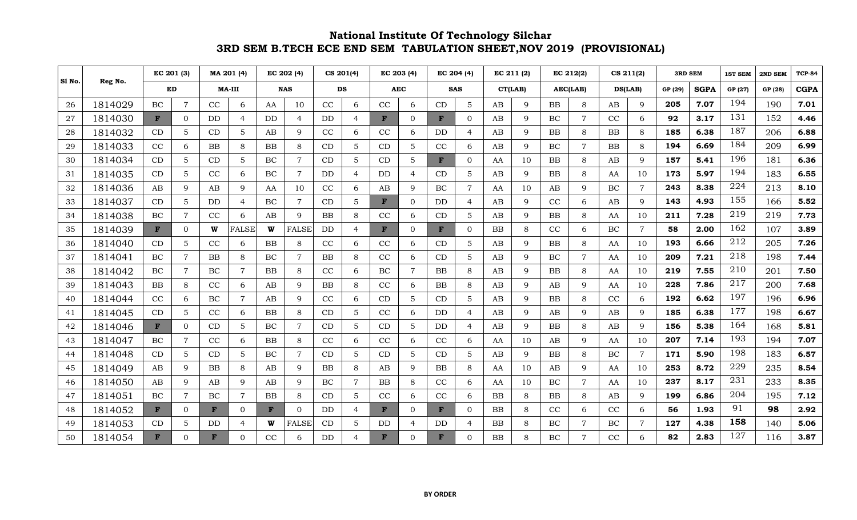|        | Reg No. |              | EC 201 (3)     |                | MA 201 (4)     |                        | EC 202 (4)     |                | CS 201(4)      |              | EC 203 (4)     |           | EC 204 (4)     |            | EC 211 (2)  |            | EC 212(2)      |           | CS 211(2)      | <b>3RD SEM</b> |             | <b>1ST SEM</b> | 2ND SEM | <b>TCP-84</b> |
|--------|---------|--------------|----------------|----------------|----------------|------------------------|----------------|----------------|----------------|--------------|----------------|-----------|----------------|------------|-------------|------------|----------------|-----------|----------------|----------------|-------------|----------------|---------|---------------|
| S1 No. |         | ED           |                | MA-III         |                | <b>NAS</b>             |                |                | <b>DS</b>      |              | <b>AEC</b>     |           | <b>SAS</b>     | CT(LAB)    |             |            | AEC(LAB)       | DS(LAB)   |                | GP (29)        | <b>SGPA</b> | GP (27)        | GP (28) | <b>CGPA</b>   |
| 26     | 1814029 | BC           | $\overline{7}$ | CC             | 6              | AA                     | 10             | CC             | 6              | CC           | 6              | CD        | $5\phantom{.}$ | AB         | 9           | BB         | 8              | AB        | 9              | 205            | 7.07        | 194            | 190     | 7.01          |
| 27     | 1814030 | F            | $\overline{0}$ | D <sub>D</sub> | $\overline{4}$ | <b>DD</b>              | $\overline{4}$ | D <sub>D</sub> | $\overline{4}$ | F            | $\mathbf{0}$   | F         | $\overline{0}$ | AB         | 9           | BC         | $\overline{7}$ | CC        | 6              | 92             | 3.17        | 131            | 152     | 4.46          |
| 28     | 1814032 | CD           | 5              | CD             | 5              | AB                     | $\mathbf Q$    | CC             | 6              | CC           | 6              | DD.       | $\overline{4}$ | AB         | $\mathbf Q$ | BB         | 8              | <b>BB</b> | 8              | 185            | 6.38        | 187            | 206     | 6.88          |
| 29     | 1814033 | CC           | 6              | BB             | 8              | BB                     | 8              | CD             | 5              | CD           | 5              | CC        | 6              | AB         | 9           | BC         | 7              | <b>BB</b> | 8              | 194            | 6.69        | 184            | 209     | 6.99          |
| 30     | 1814034 | CD           | 5              | CD             | 5              | BC.                    | $\overline{7}$ | CD             | $\overline{5}$ | CD           | $\overline{5}$ | F         | $\Omega$       | AA         | 10          | <b>BB</b>  | 8              | AB        | 9              | 157            | 5.41        | 196            | 181     | 6.36          |
| 31     | 1814035 | CD           | 5              | CC             | 6              | BC                     | $\overline{7}$ | <b>DD</b>      | $\overline{4}$ | <b>DD</b>    | $\overline{4}$ | CD        | 5              | AB         | 9           | <b>BB</b>  | 8              | AA        | 10             | 173            | 5.97        | 194            | 183     | 6.55          |
| 32     | 1814036 | AB           | 9              | AB             | 9              | AA                     | 10             | CC             | 6              | AB           | $\mathbf{Q}$   | BC        | $\overline{7}$ | AA         | 10          | AB         | 9              | $\rm BC$  | $\overline{7}$ | 243            | 8.38        | 224            | 213     | 8.10          |
| 33     | 1814037 | CD           | 5              | <b>DD</b>      | $\overline{4}$ | BC                     | $\overline{7}$ | CD             | 5              | $\mathbf{F}$ | $\mathbf{0}$   | <b>DD</b> | $\overline{4}$ | AB         | 9           | CC         | 6              | AB        | 9              | 143            | 4.93        | 155            | 166     | 5.52          |
| 34     | 1814038 | BC           | $\overline{7}$ | CC             | 6              | AB                     | $\mathbf Q$    | BB             | 8              | CC           | 6              | CD        | $\overline{5}$ | AB         | $\mathbf Q$ | BB         | 8              | AA        | 10             | 211            | 7.28        | 219            | 219     | 7.73          |
| 35     | 1814039 | $\mathbf{F}$ | $\mathbf{0}$   | W              | <b>FALSE</b>   | W                      | <b>FALSE</b>   | DD             | 4              | F            | $\overline{0}$ | F         | $\overline{0}$ | BB         | 8           | CC         | 6              | $\rm BC$  | $\tau$         | 58             | 2.00        | 162            | 107     | 3.89          |
| 36     | 1814040 | CD           | 5              | CC             | 6              | $\rm BB$               | 8              | CC             | 6              | CC           | 6              | CD        | 5              | AB         | $\mathbf Q$ | BB         | 8              | AA        | 10             | 193            | 6.66        | 212            | 205     | 7.26          |
| 37     | 1814041 | BC           | $\overline{7}$ | <b>BB</b>      | 8              | BC                     | 7              | <b>BB</b>      | 8              | CC           | 6              | CD        | 5              | AB         | $\mathbf Q$ | BC         | $\overline{7}$ | AA        | 10             | 209            | 7.21        | 218            | 198     | 7.44          |
| 38     | 1814042 | BC           | $\overline{7}$ | BC             | $\overline{7}$ | BB                     | 8              | CC             | 6              | $\rm BC$     | $\overline{7}$ | BB        | 8              | AB         | 9           | BB         | 8              | AA        | 10             | 219            | 7.55        | 210            | 201     | 7.50          |
| 39     | 1814043 | <b>BB</b>    | 8              | CC             | 6              | AB                     | $\mathbf Q$    | BB             | 8              | CC           | 6              | BB        | 8              | AB         | $\mathbf Q$ | AB         | 9              | AA        | 10             | 228            | 7.86        | 217            | 200     | 7.68          |
| 40     | 1814044 | CC           | 6              | $\rm BC$       | $\overline{7}$ | $\mathbf{A}\mathbf{B}$ | 9              | CC             | 6              | CD           | 5              | CD        | 5              | AB         | 9           | BB         | 8              | CC        | 6              | 192            | 6.62        | 197            | 196     | 6.96          |
| 41     | 1814045 | CD           | 5              | CC             | 6              | BB                     | 8              | CD             | 5              | CC           | 6              | DD.       | $\overline{4}$ | AB         | $\mathbf Q$ | AB         | 9              | AB        | 9              | 185            | 6.38        | 177            | 198     | 6.67          |
| 42     | 1814046 | F            | $\mathbf{0}$   | CD             | 5              | BC                     | $\overline{7}$ | CD             | 5              | CD           | 5              | DD.       | $\overline{4}$ | AB         | $\mathbf Q$ | <b>BB</b>  | 8              | AB        | 9              | 156            | 5.38        | 164            | 168     | 5.81          |
| 43     | 1814047 | BC           | $\overline{7}$ | CC             | 6              | BB                     | 8              | CC             | 6              | CC           | 6              | CC        | 6              | AA         | 10          | AB         | 9              | AA        | 10             | 207            | 7.14        | 193            | 194     | 7.07          |
| 44     | 1814048 | CD           | 5              | CD             | 5              | BC                     | $\overline{7}$ | CD             | 5              | CD           | 5              | CD        | $\overline{5}$ | AB         | $\mathbf Q$ | <b>BB</b>  | 8              | BC        | $\overline{7}$ | 171            | 5.90        | 198            | 183     | 6.57          |
| 45     | 1814049 | AB           | 9              | BB             | 8              | AB                     | 9              | BB             | 8              | AB           | $\mathbf Q$    | BB        | 8              | AA         | 10          | AB         | 9              | AA        | 10             | 253            | 8.72        | 229            | 235     | 8.54          |
| 46     | 1814050 | AB           | 9              | AB             | 9              | $\mathbf{A}\mathbf{B}$ | $\mathbf Q$    | BC             | $\overline{7}$ | BB           | 8              | CC        | 6              | AA         | 10          | $\rm BC$   | $\overline{7}$ | AA        | 10             | 237            | 8.17        | 231            | 233     | 8.35          |
| 47     | 1814051 | BC           | $\overline{7}$ | BC             | $\overline{7}$ | BB                     | 8              | CD             | 5              | CC           | 6              | CC        | 6              | ${\bf BB}$ | 8           | ${\bf BB}$ | 8              | AB        | 9              | 199            | 6.86        | 204            | 195     | 7.12          |
| 48     | 1814052 | $\mathbf{F}$ | $\Omega$       | F              | $\overline{0}$ | $\mathbf{F}$           | $\Omega$       | <b>DD</b>      | $\overline{4}$ | F            | $\overline{0}$ | F         | $\overline{0}$ | BB         | 8           | CC         | 6              | CC        | 6              | 56             | 1.93        | 91             | 98      | 2.92          |
| 49     | 1814053 | CD           | 5              | DD             | 4              | W                      | <b>FALSE</b>   | CD             | 5              | DD           | $\overline{4}$ | DD        | $\overline{4}$ | BB         | 8           | $\rm BC$   | $\overline{7}$ | $\rm BC$  | $\overline{7}$ | 127            | 4.38        | 158            | 140     | 5.06          |
| 50     | 1814054 | F            | $\Omega$       | F              | $\Omega$       | CC                     |                | <b>DD</b>      | $\overline{a}$ | F            | ∩              | F         | $\Omega$       | <b>BB</b>  | 8           | BC         | 7              | CC        | 6              | 82             | 2.83        | 127            | 116     | 3.87          |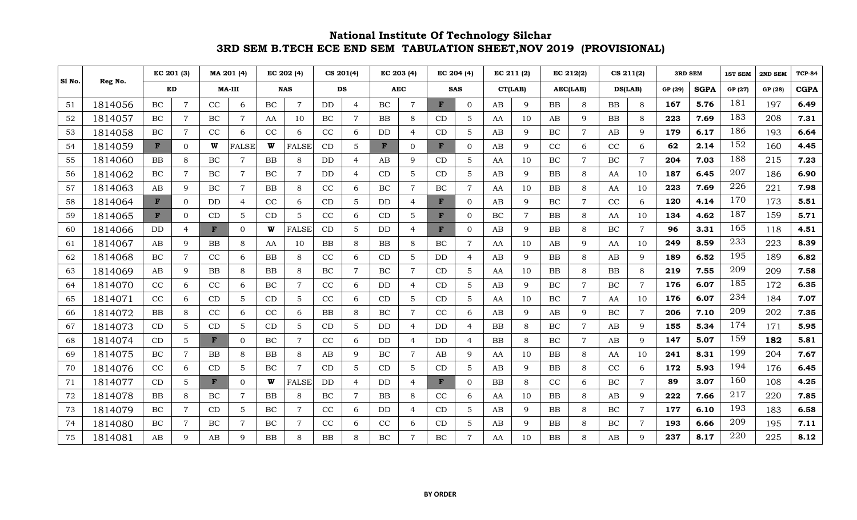|        |         | EC 201 (3) |                | MA 201 (4)   |                | EC 202 (4) |                | CS 201(4) |                | EC 203 (4) |                | EC 204 (4) |                 | EC 211 (2) |                | EC 212(2)  |                | CS 211(2) |                | <b>3RD SEM</b> |             | 1ST SEM | 2ND SEM | <b>TCP-84</b> |
|--------|---------|------------|----------------|--------------|----------------|------------|----------------|-----------|----------------|------------|----------------|------------|-----------------|------------|----------------|------------|----------------|-----------|----------------|----------------|-------------|---------|---------|---------------|
| SI No. | Reg No. | ED         |                | $MA-III$     |                | <b>NAS</b> |                | <b>DS</b> |                |            | <b>AEC</b>     |            | <b>SAS</b>      |            | CT(LAB)        |            | AEC(LAB)       | DS(LAB)   |                | GP (29)        | <b>SGPA</b> | GP (27) | GP (28) | <b>CGPA</b>   |
| 51     | 1814056 | BC         | $\overline{7}$ | CC           | 6              | BC         | $\overline{7}$ | <b>DD</b> | $\overline{4}$ | BC         | $\overline{7}$ | F          | $\overline{0}$  | AB         | 9              | BB         | 8              | <b>BB</b> | 8              | 167            | 5.76        | 181     | 197     | 6.49          |
| 52     | 1814057 | $\rm BC$   | $\overline{7}$ | BC           | $\overline{7}$ | AA         | 10             | $\rm BC$  | $\overline{7}$ | BB         | 8              | CD         | $5\overline{)}$ | AA         | 10             | AB         | 9              | <b>BB</b> | 8              | 223            | 7.69        | 183     | 208     | 7.31          |
| 53     | 1814058 | BC         | 7              | CC           | 6              | CC         | 6              | CC        | 6              | DD.        | $\overline{4}$ | CD         | $5\phantom{.0}$ | AB         | 9              | BC         | $\overline{7}$ | AB        | 9              | 179            | 6.17        | 186     | 193     | 6.64          |
| 54     | 1814059 | F          | $\Omega$       | W            | <b>FALSE</b>   | W          | <b>FALSE</b>   | CD        | 5              | F          | $\overline{0}$ | F          | $\overline{0}$  | AB         | 9              | CC         | 6              | CC        | 6              | 62             | 2.14        | 152     | 160     | 4.45          |
| 55     | 1814060 | <b>BB</b>  | 8              | BC           | $\overline{7}$ | <b>BB</b>  | 8              | <b>DD</b> | $\overline{4}$ | AB         | 9              | CD         | 5               | AA         | 10             | BC         | $\overline{7}$ | BC        | $\overline{7}$ | 204            | 7.03        | 188     | 215     | 7.23          |
| 56     | 1814062 | BC         | $\overline{7}$ | BC           | $\overline{7}$ | BC         | $\overline{7}$ | <b>DD</b> | $\overline{4}$ | CD         | 5              | CD         | 5               | AB         | 9              | BB         | 8              | AA        | 10             | 187            | 6.45        | 207     | 186     | 6.90          |
| 57     | 1814063 | AB         | $\mathbf{Q}$   | BC           | $\overline{7}$ | BB         | 8              | CC        | 6              | BC         |                | BC         | $\overline{7}$  | AA         | 10             | BB         | 8              | AA        | 10             | 223            | 7.69        | 226     | 221     | 7.98          |
| 58     | 1814064 | F          | $\overline{0}$ | DD           | $\overline{4}$ | CC         | 6              | CD        | 5              | DD         | $\overline{4}$ | F          | $\overline{0}$  | AB         | 9              | BC         | $\overline{7}$ | CC        | 6              | 120            | 4.14        | 170     | 173     | 5.51          |
| 59     | 1814065 | F          | $\Omega$       | CD           | 5              | CD         | 5              | CC        | 6              | CD         | 5              | F          | $\Omega$        | BC         | $\overline{7}$ | BB         | 8              | AA        | 10             | 134            | 4.62        | 187     | 159     | 5.71          |
| 60     | 1814066 | <b>DD</b>  | $\overline{4}$ | $\mathbf{F}$ | $\overline{0}$ | W          | <b>FALSE</b>   | CD        | 5              | DD         | 4              | F          | $\overline{0}$  | AB         | 9              | BB         | 8              | BC        | $\overline{7}$ | 96             | 3.31        | 165     | 118     | 4.51          |
| 61     | 1814067 | AB         | 9              | <b>BB</b>    | 8              | AA         | 10             | BB        | 8              | BB         | 8              | $\rm BC$   | $\overline{7}$  | AA         | 10             | AB         | 9              | AA        | 10             | 249            | 8.59        | 233     | 223     | 8.39          |
| 62     | 1814068 | BC         | $\overline{7}$ | CC           | 6              | <b>BB</b>  | 8              | CC        | 6              | CD         | 5              | DD         | $\overline{4}$  | AB         | 9              | <b>BB</b>  | 8              | AB        | 9              | 189            | 6.52        | 195     | 189     | 6.82          |
| 63     | 1814069 | AB         | $\mathbf Q$    | BB           | 8              | BB         | 8              | BC        | $\overline{7}$ | <b>BC</b>  | $\overline{7}$ | CD         | $\overline{5}$  | AA         | 10             | BB         | 8              | BB        | 8              | 219            | 7.55        | 209     | 209     | 7.58          |
| 64     | 1814070 | CC         | 6              | CC           | 6              | BC         | 7              | CC        | 6              | <b>DD</b>  | $\overline{4}$ | CD         | $5\overline{)}$ | AB         | 9              | BC         | $\overline{7}$ | BC        | $\overline{7}$ | 176            | 6.07        | 185     | 172     | 6.35          |
| 65     | 1814071 | CC         | 6              | CD           | 5              | CD         | 5              | CC        | 6              | CD         | 5              | CD         | 5               | AA         | 10             | $\rm BC$   | $\overline{7}$ | AA        | 10             | 176            | 6.07        | 234     | 184     | 7.07          |
| 66     | 1814072 | <b>BB</b>  | 8              | CC           | 6              | CC         | 6              | <b>BB</b> | 8              | BC         | $\overline{7}$ | CC         | 6               | AB         | 9              | AB         | 9              | BC        | $\overline{7}$ | 206            | 7.10        | 209     | 202     | 7.35          |
| 67     | 1814073 | CD         | 5              | CD           | 5              | CD         | 5              | CD        | 5              | DD         | $\overline{4}$ | <b>DD</b>  | $\overline{4}$  | BB         | 8              | BC         | $\overline{7}$ | AB        | 9              | 155            | 5.34        | 174     | 171     | 5.95          |
| 68     | 1814074 | CD         | 5              | $\mathbf{F}$ | $\overline{0}$ | BC         | $\overline{7}$ | CC        | 6              | DD.        | $\overline{4}$ | <b>DD</b>  | $\overline{4}$  | <b>BB</b>  | 8              | BC         | $\overline{7}$ | AB        | 9              | 147            | 5.07        | 159     | 182     | 5.81          |
| 69     | 1814075 | BC         | $\overline{7}$ | <b>BB</b>    | 8              | BB         | 8              | AB        | 9              | $\rm BC$   | $\overline{7}$ | AB         | 9               | AA         | 10             | BB         | 8              | AA        | 10             | 241            | 8.31        | 199     | 204     | 7.67          |
| 70     | 1814076 | CC         | 6              | CD           | 5              | <b>BC</b>  | $\overline{7}$ | CD        | 5              | CD         | $\overline{5}$ | CD         | 5               | AB         | 9              | BB         | 8              | CC        | 6              | 172            | 5.93        | 194     | 176     | 6.45          |
| 71     | 1814077 | CD         | 5              | $\mathbf{F}$ | $\overline{0}$ | W          | <b>FALSE</b>   | DD        | $\overline{4}$ | <b>DD</b>  | $\overline{4}$ | F          | $\overline{0}$  | BB         | 8              | CC         | 6              | BC        | $\overline{7}$ | 89             | 3.07        | 160     | 108     | 4.25          |
| 72     | 1814078 | <b>BB</b>  | 8              | BC           | $\overline{7}$ | BB         | 8              | $\rm BC$  | $\overline{7}$ | <b>BB</b>  | 8              | CC         | 6               | AA         | 10             | ${\rm BB}$ | 8              | AB        | 9              | 222            | 7.66        | 217     | 220     | 7.85          |
| 73     | 1814079 | $\rm BC$   | $\overline{7}$ | CD           | 5              | $\rm BC$   | 7              | CC        | 6              | DD         | $\overline{4}$ | CD         | 5               | AB         | 9              | BB         | 8              | BC        | $\overline{7}$ | 177            | 6.10        | 193     | 183     | 6.58          |
| 74     | 1814080 | BC         | $\overline{7}$ | BC           | $\overline{7}$ | BC         | 7              | CC        | 6              | CC         | 6              | CD         | 5               | AB         | 9              | BB         | 8              | $\rm BC$  | $\overline{7}$ | 193            | 6.66        | 209     | 195     | 7.11          |
| 75     | 1814081 | AB         | q              | AB           | 9              | BB         |                | BB        | 8              | BC         |                | BC         | $\overline{7}$  | AA         | 10             | BB         | 8              | $\rm AB$  | 9              | 237            | 8.17        | 220     | 225     | 8.12          |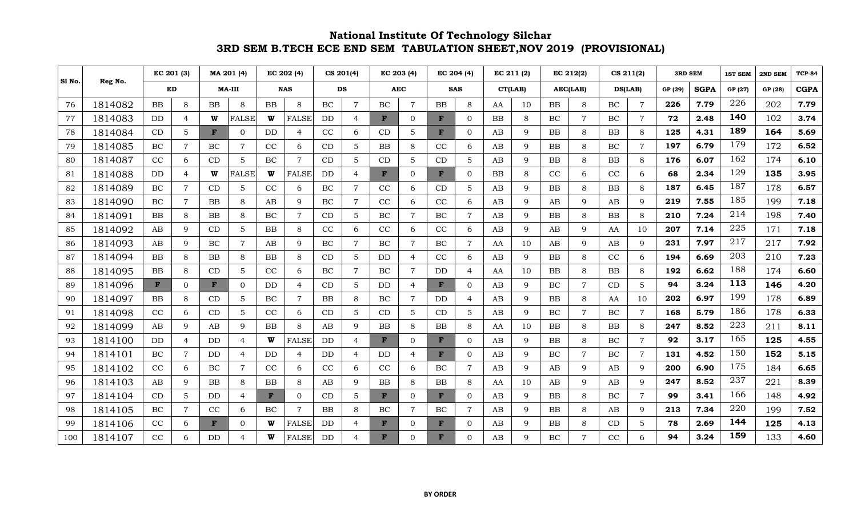|        |         | EC 201 (3) |                | MA 201 (4)    |                | EC 202 (4) |                             | CS 201(4) |                          | EC 203 (4) |                | EC 204 (4)   |                | EC 211 (2) |         | EC 212(2) |                | CS 211(2) |                | <b>3RD SEM</b> |             | <b>1ST SEM</b> | 2ND SEM | <b>TCP-84</b> |
|--------|---------|------------|----------------|---------------|----------------|------------|-----------------------------|-----------|--------------------------|------------|----------------|--------------|----------------|------------|---------|-----------|----------------|-----------|----------------|----------------|-------------|----------------|---------|---------------|
| Sl No. | Reg No. | ED         |                | <b>MA-III</b> |                | <b>NAS</b> |                             | DS        |                          |            | <b>AEC</b>     |              | <b>SAS</b>     |            | CT(LAB) |           | AEC(LAB)       | DS(LAB)   |                | GP (29)        | <b>SGPA</b> | GP (27)        | GP (28) | <b>CGPA</b>   |
| 76     | 1814082 | <b>BB</b>  | 8              | <b>BB</b>     | 8              | <b>BB</b>  | $\mathcal{R}_{\mathcal{A}}$ | BC        | $\overline{7}$           | BC         | $\overline{7}$ | <b>BB</b>    | 8              | AA         | 10      | <b>BB</b> | 8              | BC        | $\overline{7}$ | 226            | 7.79        | 226            | 202     | 7.79          |
| 77     | 1814083 | DD         | $\overline{4}$ | W             | <b>FALSE</b>   | W          | <b>FALSE</b>                | <b>DD</b> | $\overline{4}$           | F          | $\overline{0}$ | F            | $\overline{0}$ | BB         | 8       | BC        | $\overline{7}$ | BC        | $\overline{7}$ | 72             | 2.48        | 140            | 102     | 3.74          |
| 78     | 1814084 | CD         | 5              | F             | $\overline{0}$ | <b>DD</b>  | $\overline{4}$              | CC        | 6                        | CD         | 5              | F            | $\mathbf{0}$   | AB         | 9       | <b>BB</b> | 8              | <b>BB</b> | 8              | 125            | 4.31        | 189            | 164     | 5.69          |
| 79     | 1814085 | BC         | $\overline{7}$ | BC            | $\overline{7}$ | CC         | 6                           | CD        | 5                        | <b>BB</b>  | 8              | CC           | 6              | AB         | 9       | <b>BB</b> | 8              | BC        | $\overline{7}$ | 197            | 6.79        | 179            | 172     | 6.52          |
| 80     | 1814087 | CC         | 6              | CD            | 5              | BC         | 7                           | CD        | $\overline{5}$           | CD         | 5              | CD           | 5              | AB         | 9       | BB        | 8              | BB        | 8              | 176            | 6.07        | 162            | 174     | 6.10          |
| 81     | 1814088 | DD         | $\overline{4}$ | W             | <b>FALSE</b>   | W          | <b>FALSE</b>                | <b>DD</b> | $\overline{4}$           | F          | $\overline{0}$ | F            | $\overline{0}$ | BB         | 8       | CC        | 6              | CC        | 6              | 68             | 2.34        | 129            | 135     | 3.95          |
| 82     | 1814089 | BC         | $\overline{7}$ | CD            | 5              | CC         | 6                           | $\rm BC$  | $\overline{7}$           | CC         | 6              | CD           | 5              | AB         | 9       | BB        | 8              | <b>BB</b> | 8              | 187            | 6.45        | 187            | 178     | 6.57          |
| 83     | 1814090 | BC         | $\overline{7}$ | <b>BB</b>     | 8              | AB         | 9                           | BC        | $\overline{7}$           | $\rm CC$   | 6              | CC           | 6              | AB         | 9       | AB        | 9              | AB        | 9              | 219            | 7.55        | 185            | 199     | 7.18          |
| 84     | 1814091 | <b>BB</b>  | 8              | <b>BB</b>     | 8              | BC         | 7                           | CD        | $\overline{5}$           | BC         | $\overline{7}$ | BC           | $\overline{7}$ | AB         | 9       | <b>BB</b> | 8              | <b>BB</b> | 8              | 210            | 7.24        | 214            | 198     | 7.40          |
| 85     | 1814092 | AB         | 9              | CD            | 5              | BB         | 8                           | CC        | 6                        | CC         | 6              | CC           | 6              | AB         | 9       | AB        | 9              | AA        | 10             | 207            | 7.14        | 225            | 171     | 7.18          |
| 86     | 1814093 | AB         | 9              | BC            | $\overline{7}$ | AB         | q                           | $\rm BC$  | $\overline{7}$           | BC         | 7              | BC           | $\overline{7}$ | AA         | 10      | AB        | 9              | AB        | 9              | 231            | 7.97        | 217            | 217     | 7.92          |
| 87     | 1814094 | BB         | 8              | <b>BB</b>     | 8              | BB         | 8                           | CD        | $\overline{5}$           | DD         | $\overline{4}$ | CC           | 6              | AB         | 9       | BB        | 8              | CC        | 6              | 194            | 6.69        | 203            | 210     | 7.23          |
| 88     | 1814095 | BB         | 8              | CD            | 5              | CC         | 6                           | $\rm BC$  | $\overline{7}$           | $\rm BC$   | $\overline{7}$ | DD           | $\overline{4}$ | AA         | 10      | BB        | 8              | BB        | 8              | 192            | 6.62        | 188            | 174     | 6.60          |
| 89     | 1814096 | F          | $\overline{0}$ | F             | $\overline{0}$ | DD         | $\overline{4}$              | CD        | 5                        | DD         | $\overline{4}$ | $\mathbf{F}$ | $\overline{0}$ | AB         | 9       | BC        | $\overline{7}$ | CD        | 5              | 94             | 3.24        | 113            | 146     | 4.20          |
| 90     | 1814097 | <b>BB</b>  | 8              | CD            | 5              | BC         | 7                           | <b>BB</b> | 8                        | $\rm BC$   | $\overline{7}$ | DD           | $\overline{4}$ | AB         | 9       | BB        | 8              | AA        | 10             | 202            | 6.97        | 199            | 178     | 6.89          |
| 91     | 1814098 | CC         | 6              | CD            | 5              | CC         | 6                           | CD        | $\overline{5}$           | CD         | 5              | CD           | 5              | AB         | 9       | BC        | $\overline{7}$ | BC        | $\overline{7}$ | 168            | 5.79        | 186            | 178     | 6.33          |
| 92     | 1814099 | AB         | 9              | AB            | 9              | BB         | 8                           | AB        | $\mathbf{Q}$             | BB         | 8              | <b>BB</b>    | 8              | AA         | 10      | <b>BB</b> | 8              | <b>BB</b> | 8              | 247            | 8.52        | 223            | 211     | 8.11          |
| 93     | 1814100 | <b>DD</b>  | $\overline{4}$ | <b>DD</b>     | $\overline{4}$ | W          | <b>FALSE</b>                | <b>DD</b> | $\overline{4}$           | F          | $\Omega$       | F            | $\overline{0}$ | AB         | 9       | BB        | 8              | $\rm BC$  | $\overline{7}$ | 92             | 3.17        | 165            | 125     | 4.55          |
| 94     | 1814101 | BC         | $\overline{7}$ | DD            | 4              | DD         | 4                           | DD        | $\overline{4}$           | DD         | $\overline{4}$ | F            | $\mathbf{0}$   | AB         | 9       | BC        | $\overline{7}$ | BC        | $\overline{7}$ | 131            | 4.52        | 150            | 152     | 5.15          |
| 95     | 1814102 | CC         | 6              | <b>BC</b>     | $\overline{7}$ | CC         | 6                           | CC        | 6                        | CC         | 6              | BC           | $\overline{7}$ | AB         | 9       | AB        | 9              | AB        | 9              | 200            | 6.90        | 175            | 184     | 6.65          |
| 96     | 1814103 | AB         | 9              | <b>BB</b>     | 8              | BB         | 8                           | AB        | 9                        | <b>BB</b>  | 8              | <b>BB</b>    | 8              | AA         | 10      | AB        | 9              | AB        | 9              | 247            | 8.52        | 237            | 221     | 8.39          |
| 97     | 1814104 | CD         | 5              | DD            | $\overline{4}$ | F          | $\Omega$                    | CD        | 5                        | F          | $\Omega$       | F            | $\overline{0}$ | AB         | 9       | BB        | 8              | $\rm BC$  | $\overline{7}$ | 99             | 3.41        | 166            | 148     | 4.92          |
| 98     | 1814105 | $\rm BC$   | $\overline{7}$ | CC            | 6              | $\rm BC$   |                             | BB        | 8                        | BC         | $\overline{7}$ | BC           | $\overline{7}$ | AB         | 9       | BB        | 8              | AB        | 9              | 213            | 7.34        | 220            | 199     | 7.52          |
| 99     | 1814106 | CC         | 6              | F             | $\Omega$       | W          | <b>FALSE</b>                | DD        | $\overline{4}$           | F          | $\Omega$       | F            | $\overline{0}$ | AB         | 9       | BB        | 8              | CD        | 5              | 78             | 2.69        | 144            | 125     | 4.13          |
| 100    | 1814107 | CC         | 6              | DD            | 4              |            | <b>FALSE</b>                | DD        | $\overline{\mathcal{A}}$ | F          | $\Omega$       | F            | $\overline{0}$ | AB         | 9       | BC        | 7              | CC        | 6              | 94             | 3.24        | 159            | 133     | 4.60          |